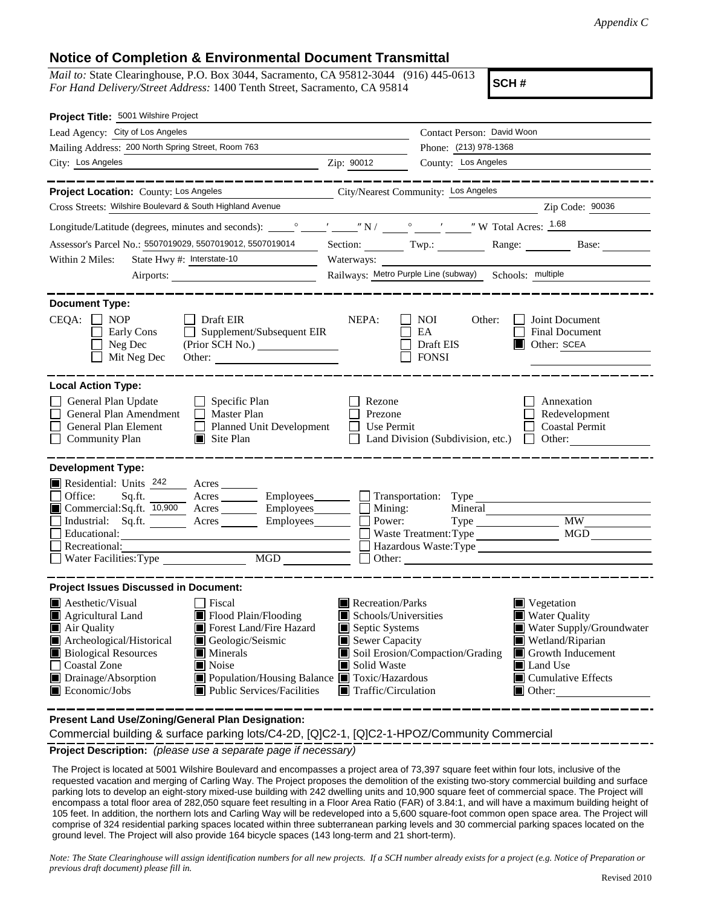## **Notice of Completion & Environmental Document Transmittal**

*Mail to:* State Clearinghouse, P.O. Box 3044, Sacramento, CA 95812-3044 (916) 445-0613 *For Hand Delivery/Street Address:* 1400 Tenth Street, Sacramento, CA 95814

**SCH #**

| Project Title: 5001 Wilshire Project                                                                                                                                                                                                                                                                                                                                                                                                     |                                                                                                                                                                                                                                                                |                                                                                                               |  |
|------------------------------------------------------------------------------------------------------------------------------------------------------------------------------------------------------------------------------------------------------------------------------------------------------------------------------------------------------------------------------------------------------------------------------------------|----------------------------------------------------------------------------------------------------------------------------------------------------------------------------------------------------------------------------------------------------------------|---------------------------------------------------------------------------------------------------------------|--|
| Lead Agency: City of Los Angeles                                                                                                                                                                                                                                                                                                                                                                                                         | Contact Person: David Woon                                                                                                                                                                                                                                     |                                                                                                               |  |
| Mailing Address: 200 North Spring Street, Room 763                                                                                                                                                                                                                                                                                                                                                                                       | Phone: (213) 978-1368                                                                                                                                                                                                                                          |                                                                                                               |  |
| City: Los Angeles<br><u> 1989 - Johann Barn, mars ann an t-Amhain an t-Amhain an t-Amhain an t-Amhain an t-Amhain an t-Amhain an t-A</u>                                                                                                                                                                                                                                                                                                 | County: Los Angeles<br>Zip: 90012                                                                                                                                                                                                                              |                                                                                                               |  |
| Project Location: County: Los Angeles                                                                                                                                                                                                                                                                                                                                                                                                    | City/Nearest Community: Los Angeles                                                                                                                                                                                                                            |                                                                                                               |  |
| Cross Streets: Wilshire Boulevard & South Highland Avenue                                                                                                                                                                                                                                                                                                                                                                                |                                                                                                                                                                                                                                                                | Zip Code: 90036                                                                                               |  |
|                                                                                                                                                                                                                                                                                                                                                                                                                                          |                                                                                                                                                                                                                                                                |                                                                                                               |  |
| Assessor's Parcel No.: 5507019029, 5507019012, 5507019014                                                                                                                                                                                                                                                                                                                                                                                | Section: Twp.: Range: Base:                                                                                                                                                                                                                                    |                                                                                                               |  |
| State Hwy #: Interstate-10<br>Within 2 Miles:                                                                                                                                                                                                                                                                                                                                                                                            | Waterways:                                                                                                                                                                                                                                                     |                                                                                                               |  |
| Airports:                                                                                                                                                                                                                                                                                                                                                                                                                                | Railways: Metro Purple Line (subway) Schools: multiple                                                                                                                                                                                                         |                                                                                                               |  |
| <b>Document Type:</b><br>$CEQA: \Box NP$<br>$\Box$ Draft EIR<br>Supplement/Subsequent EIR<br>Early Cons<br>Neg Dec<br>Mit Neg Dec<br>Other:                                                                                                                                                                                                                                                                                              | NEPA:<br>NOI<br>Other:<br>EA<br>Draft EIS<br>$\Box$ Other: SCEA<br><b>FONSI</b>                                                                                                                                                                                | Joint Document<br><b>Final Document</b>                                                                       |  |
| <b>Local Action Type:</b>                                                                                                                                                                                                                                                                                                                                                                                                                |                                                                                                                                                                                                                                                                |                                                                                                               |  |
| General Plan Update<br>$\Box$ Specific Plan<br>General Plan Amendment<br>$\Box$ Master Plan<br>General Plan Element<br>Planned Unit Development<br><b>Community Plan</b><br>$\Box$ Site Plan                                                                                                                                                                                                                                             | Rezone<br>Prezone<br>Use Permit<br>Land Division (Subdivision, etc.) $\Box$                                                                                                                                                                                    | Annexation<br>Redevelopment<br><b>Coastal Permit</b><br>Other:                                                |  |
| <b>Development Type:</b><br>Residential: Units <sup>242</sup> Acres<br>Office:<br>Sq.ft.<br>Commercial:Sq.ft. 10,900 Acres _______ Employees_______ $\Box$<br>Industrial: Sq.ft.<br>Acres Employees 1<br>Educational:<br>Recreational:                                                                                                                                                                                                   | Acres Employees Transportation: Type<br>Mineral<br>Mining:<br>Power:<br>Waste Treatment: Type<br>Hazardous Waste: Type<br>Other:                                                                                                                               | <b>MW</b><br><b>MGD</b>                                                                                       |  |
| <b>Project Issues Discussed in Document:</b>                                                                                                                                                                                                                                                                                                                                                                                             |                                                                                                                                                                                                                                                                |                                                                                                               |  |
| <b>A</b> esthetic/Visual<br>  Fiscal<br>$\blacksquare$ Flood Plain/Flooding<br>Agricultural Land<br>Air Quality<br>Forest Land/Fire Hazard<br>Archeological/Historical<br>Geologic/Seismic<br>IЦ<br><b>Biological Resources</b><br>$\blacksquare$ Minerals<br><b>Coastal Zone</b><br>Noise<br>Drainage/Absorption<br>■ Population/Housing Balance ■ Toxic/Hazardous<br>$\blacksquare$ Economic/Jobs<br><b>Public Services/Facilities</b> | Recreation/Parks<br>$\blacksquare$ Vegetation<br><b>Water Quality</b><br>Schools/Universities<br>Septic Systems<br>Sewer Capacity<br>Soil Erosion/Compaction/Grading<br>Solid Waste<br>Land Use<br>$\blacksquare$ Traffic/Circulation<br>$\blacksquare$ Other: | Water Supply/Groundwater<br>Wetland/Riparian<br>$\Box$ Growth Inducement<br>$\blacksquare$ Cumulative Effects |  |

**Present Land Use/Zoning/General Plan Designation:**

Commercial building & surface parking lots/C4-2D, [Q]C2-1, [Q]C2-1-HPOZ/Community Commercial

**Project Description:** *(please use a separate page if necessary)*

 The Project is located at 5001 Wilshire Boulevard and encompasses a project area of 73,397 square feet within four lots, inclusive of the requested vacation and merging of Carling Way. The Project proposes the demolition of the existing two-story commercial building and surface parking lots to develop an eight-story mixed-use building with 242 dwelling units and 10,900 square feet of commercial space. The Project will encompass a total floor area of 282,050 square feet resulting in a Floor Area Ratio (FAR) of 3.84:1, and will have a maximum building height of 105 feet. In addition, the northern lots and Carling Way will be redeveloped into a 5,600 square-foot common open space area. The Project will comprise of 324 residential parking spaces located within three subterranean parking levels and 30 commercial parking spaces located on the ground level. The Project will also provide 164 bicycle spaces (143 long-term and 21 short-term).

*Note: The State Clearinghouse will assign identification numbers for all new projects. If a SCH number already exists for a project (e.g. Notice of Preparation or previous draft document) please fill in.*